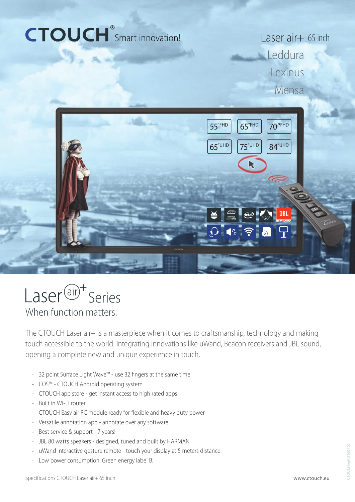# CTOUCH<sup>®</sup>Smart innovation!

Laser air+ 65 inch **Leddura** Lexinus Mensa





When function matters.

The CTOUCH Laser air+ is a masterpiece when it comes to craftsmanship, technology and making touch accessible to the world. Integrating innovations like uWand, Beacon receivers and JBL sound, opening a complete new and unique experience in touch.

- 32 point Surface Light Wave™ use 32 fingers at the same time
- COS™ CTOUCH Android operating system
- CTOUCH app store get instant access to high rated apps
- Built in Wi-Fi router
- CTOUCH Easy air PC module ready for flexible and heavy duty power
- Versatile annotation app annotate over any software
- Best service & support 7 years!
- JBL 80 watts speakers designed, tuned and built by HARMAN
- uWand interactive gesture remote touch your display at 5 meters distance
- Low power consumption. Green energy label B.

www.ctouch.eu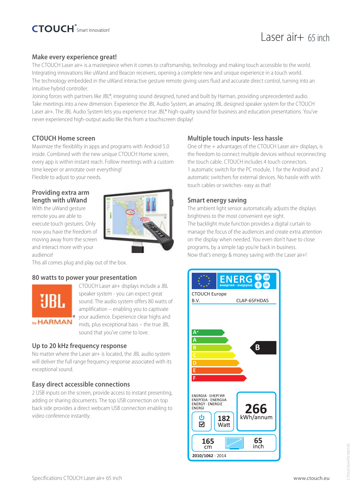# Laser air+ 65 inch

#### **Make every experience great!**

The CTOUCH Laser air+ is a masterpiece when it comes to craftsmanship, technology and making touch accessible to the world. Integrating innovations like uWand and Beacon receivers, opening a complete new and unique experience in a touch world. The technology embedded in the uWand interactive gesture remote giving users fluid and accurate direct control, turning into an intuitive hybrid controller.

Joining forces with partners like JBL®, integrating sound designed, tuned and built by Harman, providing unprecedented audio. Take meetings into a new dimension. Experience the JBL Audio System, an amazing JBL designed speaker system for the CTOUCH Laser air+. The JBL Audio System lets you experience true JBL® high-quality sound for business and education presentations. You've never experienced high-output audio like this from a touchscreen display!

## **CTOUCH Home screen**

Maximize the flexiblilty in apps and programs with Android 5.0 inside. Combined with the new unique CTOUCH Home screen, every app is within instant reach. Follow meetings with a custom time keeper or annotate over everything! Flexible to adjust to your needs.

#### **Providing extra arm length with uWand**

With the uWand gesture remote you are able to execute touch gestures. Only now you have the freedom of moving away from the screen and interact more with your audience!

This all comes plug and play out of the box.

#### **80 watts to power your presentation**



CTOUCH Laser air+ displays include a JBL speaker system - you can expect great sound. The audio system offers 80 watts of amplification – enabling you to captivate your audience. Experience clear highs and mids, plus exceptional bass – the true JBL sound that you've come to love.

#### **Up to 20 kHz frequency response**

No matter where the Laser air+ is located, the JBL audio system will deliver the full range frequency response associated with its exceptional sound.

#### **Easy direct accessible connections**

2 USB inputs on the screen, provide access to instant presenting, adding or sharing documents. The top USB connection on top back side provides a direct webcam USB connection enabling to video conference instantly.

## **Multiple touch inputs- less hassle**

One of the + advantages of the CTOUCH Laser air+ displays, is the freedom to connect multiple devices without reconnecting the touch cable. CTOUCH includes 4 touch connectors. 1 automatic switch for the PC module, 1 for the Android and 2 automatic switchers for external devices. No hassle with with touch cables or switches- easy as that!

#### **Smart energy saving**

The ambient light sensor automatically adjusts the displays brightness to the most convenient eye sight. The backlight mute function provides a digital curtain to manage the focus of the audiences and create extra attention on the display when needed. You even don't have to close programs, by a simple tap you're back in business. Now that's energy & money saving with the Laser air+!

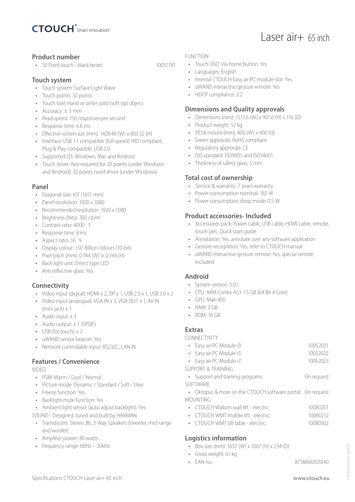

## **Product number**

• 32 Point touch - black bezel: 10051781

# **Touch system**

- Touch system: Surface Light Wave
- Touch points: 32 points
- Touch tool: Hand or other solid (soft tip) object
- Accuracy:  $\pm$  3 mm
- Read speed: 150 responses per second
- Response time: 6.6 ms
- Effective screen size (mm): 1428.48 (W) x 803.52 (H)
- Interface: USB 1.1 compatible (full speed) HID compliant, Plug & Play compatible, USB 2.0
- Supported OS: Windows, Mac and Android
- Touch driver: Not required for 20 points (under Windows and Android); 32 points need driver (under Windows)

## **Panel**

- Diagonal size: 65" (1651 mm)
- Panel resolution: 1920 x 1080
- Recommended resolution: 1920 x 1080
- Brightness (Nits): 350 cd/m<sup>2</sup>
- Contrast ratio: 4000 : 1
- Response time: 8 ms
- Aspect ratio: 16 : 9
- Display colour: 1.07 Billion colours (10-bit)
- Pixel pitch (mm):  $0.744$  (W)  $\times$   $0.744$  (H)
- Back light unit: Direct type LED
- Anti reflective glass: Yes

# **Connectivity**

- Video input (digital): HDMI x 2, DP x 1, USB 2.0 x 1, USB 3.0 x 2
- Video input (analogue): VGA IN x 3, VGA OUT x 1, AV IN (mini jack) x 1
- Audio input: x 3
- Audio output: x 1 (SPDIF)
- USB (for touch) x 2
- uWAND sensor beacon: Yes
- Network controllable input: RS232C, LAN IN

# **Features / Convenience**

VIDEO

- PSM: Warm / Cool / Normal
- Picture mode: Dynamic / Standard / Soft / User
- Freeze function: Yes
- Backlight mute function: Yes
- Ambient light sensor (auto adjust backlight): Yes
- SOUND Designed, tuned and built by HARMAN
- Transducers: Stereo JBL 3-Way Speakers (tweeter, mid-range and woofer)
- Amplifier power: 80 watts
- frequency range: 60Hz 20kHz

#### FUNCTION

- Touch OSD: Via home button: Yes
- Languages: English
- Internal CTOUCH Easy air PC module slot: Yes
- uWAND interactive gesture remote: Yes
- HDCP compliance: 2.2

## **Dimensions and Quality approvals**

- Dimensions (mm): 1513.6 (W) x 901.6 (H) x 116 (D)
- Product weight: 52 kg
- VESA mount (mm): 400 (W) x 400 (H)
- Green approvals: RoHS compliant
- Regulatory approvals: CE
- ISO standard: ISO9001 and ISO14001
- Thickness of safety glass: 5 mm

#### **Total cost of ownership**

- Service & warranty: 7 years warranty
- Power consumption nominal: 182 W
- Power consumption sleep mode: 0.5 W

## **Product accessories- Included**

- Accessoires pack: Power cable, USB cable, HDMI cable, remote, touch pen, Quick start guide
- Annotation: Yes, annotate over any software application
- Gesture recognition: Yes, refer to CTOUCH manual
- uWAND interactive gesture remote: Yes, special remote included

## **Android**

- System version: 5.0.1
- CPU: ARM Cortex A53 1.5 GB (64 Bit 4 Core)
- $\bullet$  GPU: Mali-450
- RAM: 2 GB
- ROM: 16 GB

## **Extras**

CONNECTIVITY

| • Easy air PC Module i3: | 10052021 |
|--------------------------|----------|
| • Easy air PC Module i5: | 10052022 |
| • Easy air PC Module i7: | 10052023 |

SUPPORT & TRAINING

- Support and training programs: On request
- SOFTWARE
- Oktopus & more on the CTOUCH software portal: On request MOUNTING
- CTOUCH Wallom wall lift electric: 10080201
- CTOUCH WMT mobile lift electric: 10080212
- CTOUCH WMT tilt table electric: 10080302

# **Logistics information**

- Box size (mm): 1637 (W) x 1067 (H) x 234 (D)
- Gross weight: 61 kg
- EAN no.: 8718868301840

Laser air+ 65 inch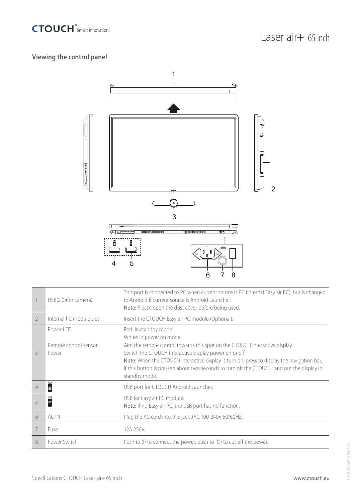

# **Viewing the control panel**



|                | USB(2.0)(for camera)                        | This port is connected to PC when current source is PC (internal Easy air PC), but is changed<br>to Android if current source is Android Launcher.<br>Note: Please open the dust cover before being used.                                                                                                                                                                                              |
|----------------|---------------------------------------------|--------------------------------------------------------------------------------------------------------------------------------------------------------------------------------------------------------------------------------------------------------------------------------------------------------------------------------------------------------------------------------------------------------|
| $\overline{2}$ | Internal PC module slot                     | Insert the CTOUCH Easy air PC module (Optional).                                                                                                                                                                                                                                                                                                                                                       |
| 3              | Power LED<br>Remote control sensor<br>Power | Red: In standby mode.<br>White: In power on mode.<br>Aim the remote control towards this spot on the CTOUCH interactive display.<br>Switch the CTOUCH interactive display power on or off.<br>Note: When the CTOUCH interactive display is turn on, press to display the navigation bar,<br>if this button is pressed about two seconds to turn off the CTOUCH and put the display in<br>standby mode. |
| 4              | ш<br>ě                                      | USB port for CTOUCH Android Launcher.                                                                                                                                                                                                                                                                                                                                                                  |
| 5              | ш<br>$\overline{P}$                         | USB for Easy air PC module.<br>Note: If no Easy air PC, the USB port has no function.                                                                                                                                                                                                                                                                                                                  |
| 6              | AC IN                                       | Plug the AC cord into this jack .(AC 100-240V 50/60Hz).                                                                                                                                                                                                                                                                                                                                                |
| 7              | Fuse                                        | 12A 250V.                                                                                                                                                                                                                                                                                                                                                                                              |
| 8              | Power Switch                                | Push to (I) to connect the power, push to (O) to cut off the power.                                                                                                                                                                                                                                                                                                                                    |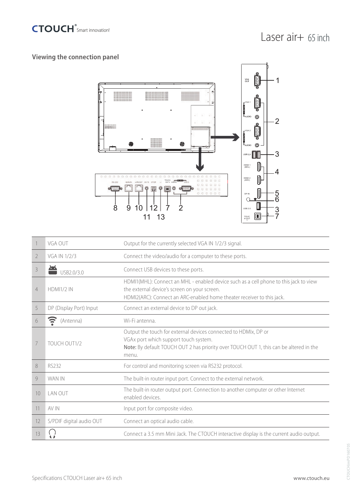

# **Viewing the connection panel**



|                | VGA OUT                  | Output for the currently selected VGA IN 1/2/3 signal.                                                                                                                                                          |
|----------------|--------------------------|-----------------------------------------------------------------------------------------------------------------------------------------------------------------------------------------------------------------|
| 2              | VGA IN 1/2/3             | Connect the video/audio for a computer to these ports.                                                                                                                                                          |
| 3              | USB2.0/3.0               | Connect USB devices to these ports.                                                                                                                                                                             |
| $\overline{4}$ | <b>HDMI1/2 IN</b>        | HDMI1(MHL): Connect an MHL - enabled device such as a cell phone to this jack to view<br>the external device's screen on your screen.<br>HDMI2(ARC): Connect an ARC-enabled home theater receiver to this jack. |
| 5              | DP (Display Port) Input  | Connect an external device to DP out jack.                                                                                                                                                                      |
| 6              | $\epsilon$<br>(Antenna)  | Wi-Fi antenna.                                                                                                                                                                                                  |
| 7              | TOUCH OUT1/2             | Output the touch for external devices connected to HDMIx, DP or<br>VGAx port which support touch system.<br>Note: By default TOUCH OUT 2 has priority over TOUCH OUT 1, this can be altered in the<br>menu.     |
| 8              | RS232                    | For control and monitoring screen via RS232 protocol.                                                                                                                                                           |
| 9              | WAN IN                   | The built-in router input port. Connect to the external network.                                                                                                                                                |
| 10             | LAN OUT                  | The built-in router output port. Connection to another computer or other Internet<br>enabled devices                                                                                                            |
| 11             | AV IN                    | Input port for composite video.                                                                                                                                                                                 |
| 12             | S/PDIF digital audio OUT | Connect an optical audio cable.                                                                                                                                                                                 |
| 13             |                          | Connect a 3.5 mm Mini Jack. The CTOUCH interactive display is the current audio output.                                                                                                                         |